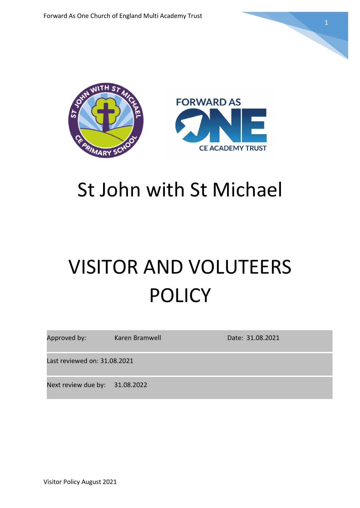

## St John with St Michael

# VISITOR AND VOLUTEERS POLICY

| Approved by:                   | Karen Bramwell | Date: 31.08.2021 |
|--------------------------------|----------------|------------------|
| Last reviewed on: 31.08.2021   |                |                  |
| Next review due by: 31.08.2022 |                |                  |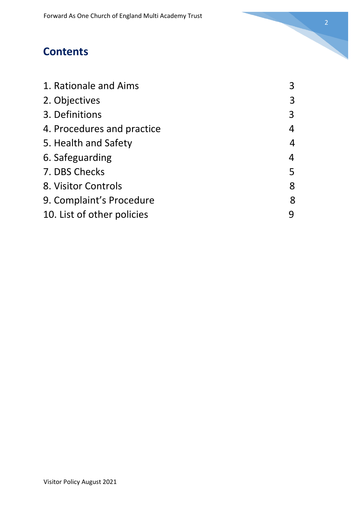## **Contents**

| 1. Rationale and Aims      | 3 |
|----------------------------|---|
| 2. Objectives              | 3 |
| 3. Definitions             | 3 |
| 4. Procedures and practice | 4 |
| 5. Health and Safety       | 4 |
| 6. Safeguarding            | 4 |
| 7. DBS Checks              | 5 |
| 8. Visitor Controls        | 8 |
| 9. Complaint's Procedure   | 8 |
| 10. List of other policies |   |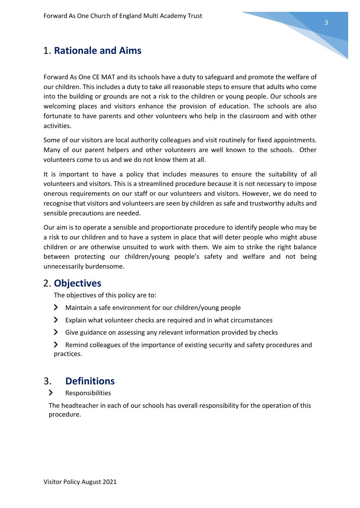## 1. **Rationale and Aims**

Forward As One CE MAT and its schools have a duty to safeguard and promote the welfare of our children. This includes a duty to take all reasonable steps to ensure that adults who come into the building or grounds are not a risk to the children or young people. Our schools are welcoming places and visitors enhance the provision of education. The schools are also fortunate to have parents and other volunteers who help in the classroom and with other activities.

Some of our visitors are local authority colleagues and visit routinely for fixed appointments. Many of our parent helpers and other volunteers are well known to the schools. Other volunteers come to us and we do not know them at all.

It is important to have a policy that includes measures to ensure the suitability of all volunteers and visitors. This is a streamlined procedure because it is not necessary to impose onerous requirements on our staff or our volunteers and visitors. However, we do need to recognise that visitors and volunteers are seen by children as safe and trustworthy adults and sensible precautions are needed.

Our aim is to operate a sensible and proportionate procedure to identify people who may be a risk to our children and to have a system in place that will deter people who might abuse children or are otherwise unsuited to work with them. We aim to strike the right balance between protecting our children/young people's safety and welfare and not being unnecessarily burdensome.

## 2. **Objectives**

The objectives of this policy are to:

- Maintain a safe environment for our children/young people
- $\blacktriangleright$  Explain what volunteer checks are required and in what circumstances
- $\blacktriangleright$  Give guidance on assessing any relevant information provided by checks
- Remind colleagues of the importance of existing security and safety procedures and practices.

## 3. **Definitions**

 $\blacktriangleright$ Responsibilities

The headteacher in each of our schools has overall responsibility for the operation of this procedure.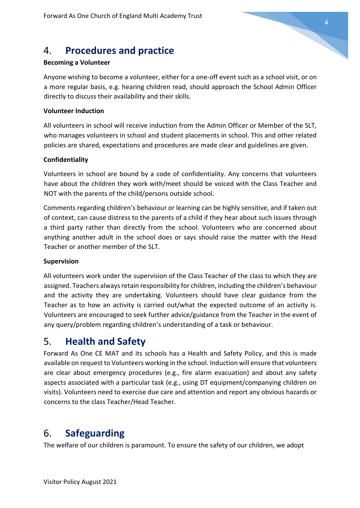## 4. **Procedures and practice**

#### **Becoming a Volunteer**

Anyone wishing to become a volunteer, either for a one-off event such as a school visit, or on a more regular basis, e.g. hearing children read, should approach the School Admin Officer directly to discuss their availability and their skills.

#### **Volunteer Induction**

All volunteers in school will receive induction from the Admin Officer or Member of the SLT, who manages volunteers in school and student placements in school. This and other related policies are shared, expectations and procedures are made clear and guidelines are given.

#### **Confidentiality**

Volunteers in school are bound by a code of confidentiality. Any concerns that volunteers have about the children they work with/meet should be voiced with the Class Teacher and NOT with the parents of the child/persons outside school.

Comments regarding children's behaviour or learning can be highly sensitive, and if taken out of context, can cause distress to the parents of a child if they hear about such issues through a third party rather than directly from the school. Volunteers who are concerned about anything another adult in the school does or says should raise the matter with the Head Teacher or another member of the SLT.

#### **Supervision**

All volunteers work under the supervision of the Class Teacher of the class to which they are assigned. Teachers always retain responsibility for children, including the children's behaviour and the activity they are undertaking. Volunteers should have clear guidance from the Teacher as to how an activity is carried out/what the expected outcome of an activity is. Volunteers are encouraged to seek further advice/guidance from the Teacher in the event of any query/problem regarding children's understanding of a task or behaviour.

## 5. **Health and Safety**

Forward As One CE MAT and its schools has a Health and Safety Policy, and this is made available on request to Volunteers working in the school. Induction will ensure that volunteers are clear about emergency procedures (e.g., fire alarm evacuation) and about any safety aspects associated with a particular task (e.g., using DT equipment/companying children on visits). Volunteers need to exercise due care and attention and report any obvious hazards or concerns to the class Teacher/Head Teacher.

## 6. **Safeguarding**

The welfare of our children is paramount. To ensure the safety of our children, we adopt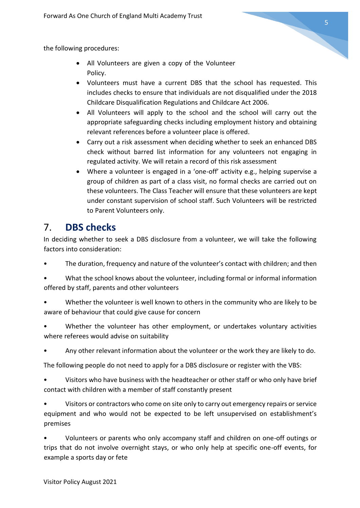the following procedures:

- All Volunteers are given a copy of the Volunteer Policy.
- Volunteers must have a current DBS that the school has requested. This includes checks to ensure that individuals are not disqualified under the 2018 Childcare Disqualification Regulations and Childcare Act 2006.
- All Volunteers will apply to the school and the school will carry out the appropriate safeguarding checks including employment history and obtaining relevant references before a volunteer place is offered.
- Carry out a risk assessment when deciding whether to seek an enhanced DBS check without barred list information for any volunteers not engaging in regulated activity. We will retain a record of this risk assessment
- Where a volunteer is engaged in a 'one-off' activity e.g., helping supervise a group of children as part of a class visit, no formal checks are carried out on these volunteers. The Class Teacher will ensure that these volunteers are kept under constant supervision of school staff. Such Volunteers will be restricted to Parent Volunteers only.

## 7. **DBS checks**

In deciding whether to seek a DBS disclosure from a volunteer, we will take the following factors into consideration:

The duration, frequency and nature of the volunteer's contact with children; and then

• What the school knows about the volunteer, including formal or informal information offered by staff, parents and other volunteers

- Whether the volunteer is well known to others in the community who are likely to be aware of behaviour that could give cause for concern
- Whether the volunteer has other employment, or undertakes voluntary activities where referees would advise on suitability
- Any other relevant information about the volunteer or the work they are likely to do.

The following people do not need to apply for a DBS disclosure or register with the VBS:

• Visitors who have business with the headteacher or other staff or who only have brief contact with children with a member of staff constantly present

• Visitors or contractors who come on site only to carry out emergency repairs or service equipment and who would not be expected to be left unsupervised on establishment's premises

• Volunteers or parents who only accompany staff and children on one-off outings or trips that do not involve overnight stays, or who only help at specific one-off events, for example a sports day or fete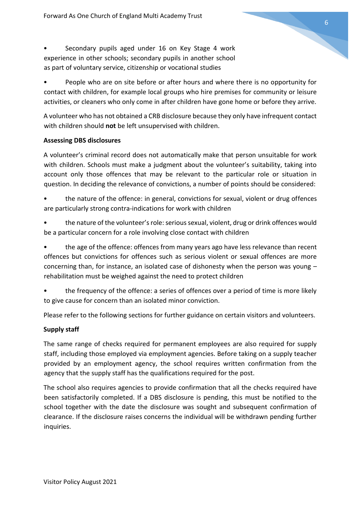• Secondary pupils aged under 16 on Key Stage 4 work experience in other schools; secondary pupils in another school as part of voluntary service, citizenship or vocational studies

• People who are on site before or after hours and where there is no opportunity for contact with children, for example local groups who hire premises for community or leisure activities, or cleaners who only come in after children have gone home or before they arrive.

A volunteer who has not obtained a CRB disclosure because they only have infrequent contact with children should **not** be left unsupervised with children.

#### **Assessing DBS disclosures**

A volunteer's criminal record does not automatically make that person unsuitable for work with children. Schools must make a judgment about the volunteer's suitability, taking into account only those offences that may be relevant to the particular role or situation in question. In deciding the relevance of convictions, a number of points should be considered:

- the nature of the offence: in general, convictions for sexual, violent or drug offences are particularly strong contra-indications for work with children
- the nature of the volunteer's role: serious sexual, violent, drug or drink offences would be a particular concern for a role involving close contact with children

• the age of the offence: offences from many years ago have less relevance than recent offences but convictions for offences such as serious violent or sexual offences are more concerning than, for instance, an isolated case of dishonesty when the person was young – rehabilitation must be weighed against the need to protect children

• the frequency of the offence: a series of offences over a period of time is more likely to give cause for concern than an isolated minor conviction.

Please refer to the following sections for further guidance on certain visitors and volunteers.

#### **Supply staff**

The same range of checks required for permanent employees are also required for supply staff, including those employed via employment agencies. Before taking on a supply teacher provided by an employment agency, the school requires written confirmation from the agency that the supply staff has the qualifications required for the post.

The school also requires agencies to provide confirmation that all the checks required have been satisfactorily completed. If a DBS disclosure is pending, this must be notified to the school together with the date the disclosure was sought and subsequent confirmation of clearance. If the disclosure raises concerns the individual will be withdrawn pending further inquiries.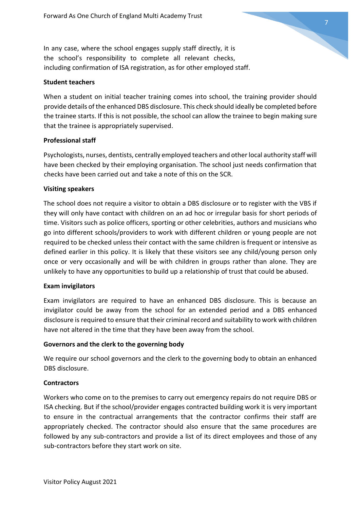In any case, where the school engages supply staff directly, it is the school's responsibility to complete all relevant checks, including confirmation of ISA registration, as for other employed staff.

#### **Student teachers**

When a student on initial teacher training comes into school, the training provider should provide details of the enhanced DBS disclosure. This check should ideally be completed before the trainee starts. If this is not possible, the school can allow the trainee to begin making sure that the trainee is appropriately supervised.

#### **Professional staff**

Psychologists, nurses, dentists, centrally employed teachers and other local authority staff will have been checked by their employing organisation. The school just needs confirmation that checks have been carried out and take a note of this on the SCR.

#### **Visiting speakers**

The school does not require a visitor to obtain a DBS disclosure or to register with the VBS if they will only have contact with children on an ad hoc or irregular basis for short periods of time. Visitors such as police officers, sporting or other celebrities, authors and musicians who go into different schools/providers to work with different children or young people are not required to be checked unless their contact with the same children is frequent or intensive as defined earlier in this policy. It is likely that these visitors see any child/young person only once or very occasionally and will be with children in groups rather than alone. They are unlikely to have any opportunities to build up a relationship of trust that could be abused.

#### **Exam invigilators**

Exam invigilators are required to have an enhanced DBS disclosure. This is because an invigilator could be away from the school for an extended period and a DBS enhanced disclosure is required to ensure that their criminal record and suitability to work with children have not altered in the time that they have been away from the school.

#### **Governors and the clerk to the governing body**

We require our school governors and the clerk to the governing body to obtain an enhanced DBS disclosure.

#### **Contractors**

Workers who come on to the premises to carry out emergency repairs do not require DBS or ISA checking. But if the school/provider engages contracted building work it is very important to ensure in the contractual arrangements that the contractor confirms their staff are appropriately checked. The contractor should also ensure that the same procedures are followed by any sub-contractors and provide a list of its direct employees and those of any sub-contractors before they start work on site.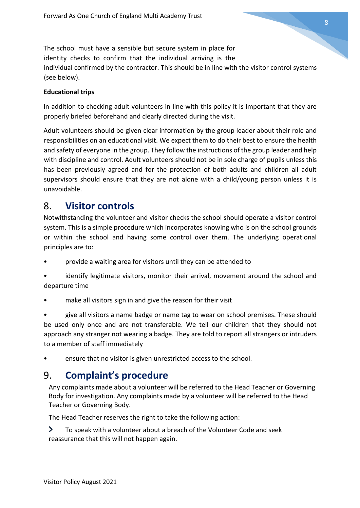The school must have a sensible but secure system in place for identity checks to confirm that the individual arriving is the individual confirmed by the contractor. This should be in line with the visitor control systems (see below).

#### **Educational trips**

In addition to checking adult volunteers in line with this policy it is important that they are properly briefed beforehand and clearly directed during the visit.

Adult volunteers should be given clear information by the group leader about their role and responsibilities on an educational visit. We expect them to do their best to ensure the health and safety of everyone in the group. They follow the instructions of the group leader and help with discipline and control. Adult volunteers should not be in sole charge of pupils unless this has been previously agreed and for the protection of both adults and children all adult supervisors should ensure that they are not alone with a child/young person unless it is unavoidable.

## 8. **Visitor controls**

Notwithstanding the volunteer and visitor checks the school should operate a visitor control system. This is a simple procedure which incorporates knowing who is on the school grounds or within the school and having some control over them. The underlying operational principles are to:

- provide a waiting area for visitors until they can be attended to
- identify legitimate visitors, monitor their arrival, movement around the school and departure time
- make all visitors sign in and give the reason for their visit

• give all visitors a name badge or name tag to wear on school premises. These should be used only once and are not transferable. We tell our children that they should not approach any stranger not wearing a badge. They are told to report all strangers or intruders to a member of staff immediately

ensure that no visitor is given unrestricted access to the school.

## 9. **Complaint's procedure**

Any complaints made about a volunteer will be referred to the Head Teacher or Governing Body for investigation. Any complaints made by a volunteer will be referred to the Head Teacher or Governing Body.

The Head Teacher reserves the right to take the following action:

 $\blacktriangleright$ To speak with a volunteer about a breach of the Volunteer Code and seek reassurance that this will not happen again.